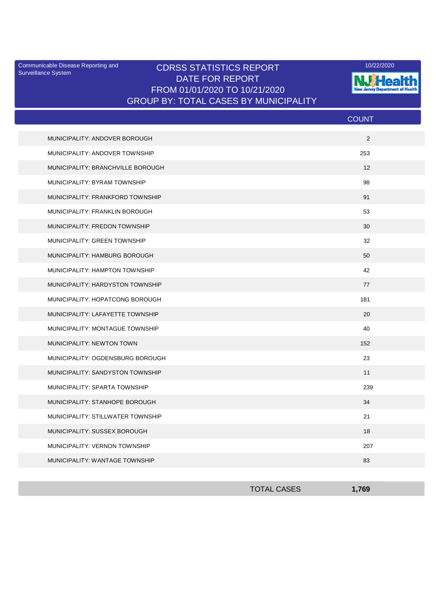Surveillance System

## Communicable Disease Reporting and **CDRSS STATISTICS REPORT** 10/22/2020<br>Surveillance Statem DATE FOR REPORT FROM 01/01/2020 TO 10/21/2020 GROUP BY: TOTAL CASES BY MUNICIPALITY



|                                   | <b>COUNT</b> |
|-----------------------------------|--------------|
| MUNICIPALITY: ANDOVER BOROUGH     | 2            |
| MUNICIPALITY: ANDOVER TOWNSHIP    | 253          |
| MUNICIPALITY: BRANCHVILLE BOROUGH | 12           |
| MUNICIPALITY: BYRAM TOWNSHIP      | 98           |
| MUNICIPALITY: FRANKFORD TOWNSHIP  | 91           |
| MUNICIPALITY: FRANKLIN BOROUGH    | 53           |
| MUNICIPALITY: FREDON TOWNSHIP     | 30           |
| MUNICIPALITY: GREEN TOWNSHIP      | 32           |
| MUNICIPALITY: HAMBURG BOROUGH     | 50           |
| MUNICIPALITY: HAMPTON TOWNSHIP    | 42           |
| MUNICIPALITY: HARDYSTON TOWNSHIP  | 77           |
| MUNICIPALITY: HOPATCONG BOROUGH   | 181          |
| MUNICIPALITY: LAFAYETTE TOWNSHIP  | 20           |
| MUNICIPALITY: MONTAGUE TOWNSHIP   | 40           |
| MUNICIPALITY: NEWTON TOWN         | 152          |
| MUNICIPALITY: OGDENSBURG BOROUGH  | 23           |
| MUNICIPALITY: SANDYSTON TOWNSHIP  | 11           |
| MUNICIPALITY: SPARTA TOWNSHIP     | 239          |
| MUNICIPALITY: STANHOPE BOROUGH    | 34           |
| MUNICIPALITY: STILLWATER TOWNSHIP | 21           |
| MUNICIPALITY: SUSSEX BOROUGH      | 18           |
| MUNICIPALITY: VERNON TOWNSHIP     | 207          |
| MUNICIPALITY: WANTAGE TOWNSHIP    | 83           |

| <b>TOTAL CASES</b> | 1,769 |
|--------------------|-------|
|                    |       |